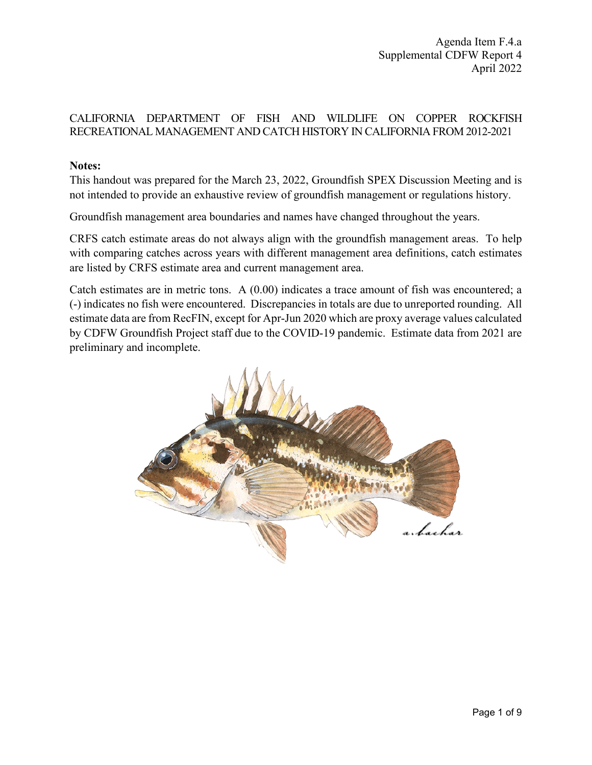## CALIFORNIA DEPARTMENT OF FISH AND WILDLIFE ON COPPER ROCKFISH RECREATIONAL MANAGEMENT AND CATCH HISTORY IN CALIFORNIA FROM 2012-2021

### **Notes:**

This handout was prepared for the March 23, 2022, Groundfish SPEX Discussion Meeting and is not intended to provide an exhaustive review of groundfish management or regulations history.

Groundfish management area boundaries and names have changed throughout the years.

CRFS catch estimate areas do not always align with the groundfish management areas. To help with comparing catches across years with different management area definitions, catch estimates are listed by CRFS estimate area and current management area.

Catch estimates are in metric tons. A (0.00) indicates a trace amount of fish was encountered; a (-) indicates no fish were encountered. Discrepancies in totals are due to unreported rounding. All estimate data are from RecFIN, except for Apr-Jun 2020 which are proxy average values calculated by CDFW Groundfish Project staff due to the COVID-19 pandemic. Estimate data from 2021 are preliminary and incomplete.

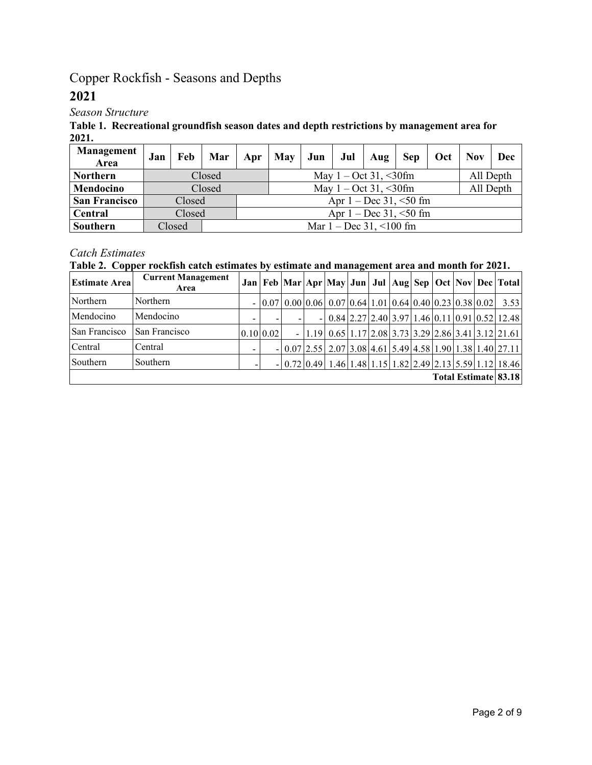# Copper Rockfish - Seasons and Depths

## **2021**

*Season Structure*

**Table 1. Recreational groundfish season dates and depth restrictions by management area for 2021.** 

| Management<br>Area   | Jan | Feb    | Mar    | Apr                                  | May                         | Jun |  | Jul $\vert$ Aug | <b>Sep</b> | Oct | <b>Nov</b> | Dec       |  |
|----------------------|-----|--------|--------|--------------------------------------|-----------------------------|-----|--|-----------------|------------|-----|------------|-----------|--|
| <b>Northern</b>      |     |        | Closed |                                      | All Depth                   |     |  |                 |            |     |            |           |  |
| Mendocino            |     |        | Closed | May $1 - \text{Oct } 31, \leq 30$ fm |                             |     |  |                 |            |     |            | All Depth |  |
| <b>San Francisco</b> |     | Closed |        |                                      | Apr $1 - Dec 31, \le 50$ fm |     |  |                 |            |     |            |           |  |
| Central              |     | Closed |        |                                      |                             |     |  |                 |            |     |            |           |  |
| Southern             |     | Closed |        | Mar $1 - Dec 31, \le 100$ fm         |                             |     |  |                 |            |     |            |           |  |

## *Catch Estimates*

### **Table 2. Copper rockfish catch estimates by estimate and management area and month for 2021.**

| <b>Estimate Area</b> | <b>Current Management</b><br>Area |                          |  |                                                             |  |  |  | Jan   Feb   Mar   Apr   May   Jun   Jul   Aug   Sep   Oct   Nov   Dec   Total |
|----------------------|-----------------------------------|--------------------------|--|-------------------------------------------------------------|--|--|--|-------------------------------------------------------------------------------|
| Northern             | Northern                          |                          |  | $- 0.07 0.00 0.06 0.07 0.64 1.01 0.64 0.40 0.23 0.38 0.02 $ |  |  |  | 3.53                                                                          |
| Mendocino            | Mendocino                         | $\overline{\phantom{a}}$ |  |                                                             |  |  |  | $- 0.84 2.27 2.40 3.97 1.46 0.11 0.91 0.52 12.48 $                            |
| San Francisco        | San Francisco                     | $0.10 \, 0.02$           |  |                                                             |  |  |  | $- 1.19 0.65 1.17 2.08 3.73 3.29 2.86 3.41 3.12 21.61 $                       |
| Central              | Central                           | $\overline{\phantom{a}}$ |  |                                                             |  |  |  | $- 0.07 2.55 2.07 3.08 4.61 5.49 4.58 1.90 1.38 1.40 27.11 $                  |
| Southern             | Southern                          |                          |  |                                                             |  |  |  | $- 0.72 0.49 1.46 1.48 1.15 1.82 2.49 2.13 5.59 1.12 18.46$                   |
|                      |                                   |                          |  |                                                             |  |  |  | Total Estimate 83.18                                                          |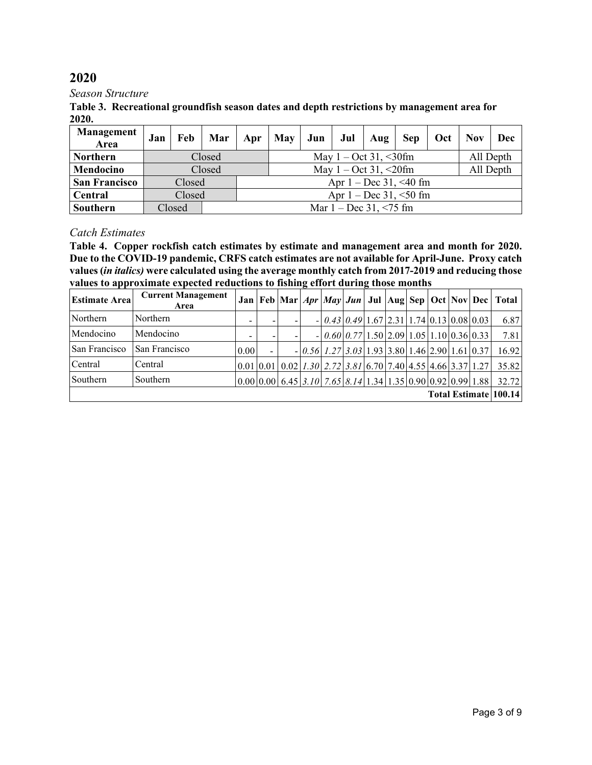#### *Season Structure*

**Table 3. Recreational groundfish season dates and depth restrictions by management area for 2020.** 

| Management<br>Area   | Jan | Feb    | Mar    | Apr | May       | Jun       |  | Jul   $\text{Aug}$ | <b>Sep</b> | Oct | <b>Nov</b> | Dec |
|----------------------|-----|--------|--------|-----|-----------|-----------|--|--------------------|------------|-----|------------|-----|
| <b>Northern</b>      |     |        | Closed |     |           | All Depth |  |                    |            |     |            |     |
| Mendocino            |     |        | Closed |     | All Depth |           |  |                    |            |     |            |     |
| <b>San Francisco</b> |     | Closed |        |     |           |           |  |                    |            |     |            |     |
| Central              |     | Closed |        |     |           |           |  |                    |            |     |            |     |
| Southern             |     | Closed |        |     |           |           |  |                    |            |     |            |     |

#### *Catch Estimates*

**Table 4. Copper rockfish catch estimates by estimate and management area and month for 2020. Due to the COVID-19 pandemic, CRFS catch estimates are not available for April-June. Proxy catch values (***in italics)* **were calculated using the average monthly catch from 2017-2019 and reducing those values to approximate expected reductions to fishing effort during those months**

| <b>Estimate Area</b> | <b>Current Management</b><br>Area |      |                                                                                    |                                                                 |  |  |  | Jan   Feb   Mar   Apr   May   Jun   Jul   Aug   Sep   Oct   Nov   Dec   Total |
|----------------------|-----------------------------------|------|------------------------------------------------------------------------------------|-----------------------------------------------------------------|--|--|--|-------------------------------------------------------------------------------|
| Northern             | Northern                          |      | -                                                                                  | $-  0.43 0.49 1.67 2.31 1.74 0.13 0.08 0.03$                    |  |  |  | 6.87                                                                          |
| Mendocino            | Mendocino                         |      |                                                                                    | $-0.60[0.77]1.50[2.09]1.05[1.10]0.36[0.33]$                     |  |  |  | 7.81                                                                          |
| San Francisco        | San Francisco                     | 0.00 |                                                                                    | $-0.56$ $1.27$ $3.03$ $1.93$ $3.80$ $1.46$ $2.90$ $1.61$ $0.37$ |  |  |  | 16.92                                                                         |
| Central              | Central                           |      | $[0.01] 0.01] 0.02$   1.30   2.72   3.81   6.70   7.40   4.55   4.66   3.37   1.27 |                                                                 |  |  |  | 35.82                                                                         |
| Southern             | Southern                          |      | $[0.00 0.00 6.45 3.10 7.65 8.14 1.34 1.35 0.90 0.92 0.99 1.88]$                    |                                                                 |  |  |  | 32.72                                                                         |
|                      |                                   |      |                                                                                    |                                                                 |  |  |  | Total Estimate 100.14                                                         |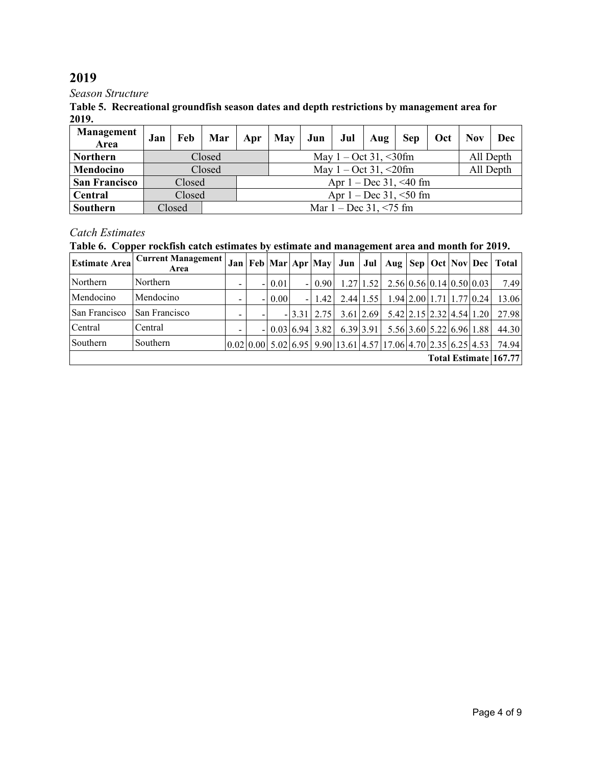#### *Season Structure*

#### **Table 5. Recreational groundfish season dates and depth restrictions by management area for 2019.**

| <b>Management</b><br>Area | Jan | Feb    | Mar    | Apr                         | May       | Jun |  | Jul   Aug | <b>Sep</b> | Oct | <b>Nov</b> | Dec |
|---------------------------|-----|--------|--------|-----------------------------|-----------|-----|--|-----------|------------|-----|------------|-----|
| <b>Northern</b>           |     |        | Closed |                             | All Depth |     |  |           |            |     |            |     |
| Mendocino                 |     |        | Closed |                             | All Depth |     |  |           |            |     |            |     |
| <b>San Francisco</b>      |     | Closed |        |                             |           |     |  |           |            |     |            |     |
| <b>Central</b>            |     | Closed |        |                             |           |     |  |           |            |     |            |     |
| Southern                  |     | Closed |        | Mar $1 - Dec 31, \le 75$ fm |           |     |  |           |            |     |            |     |

## *Catch Estimates*

## **Table 6. Copper rockfish catch estimates by estimate and management area and month for 2019.**

| <b>Estimate Area</b> | <b>Current Management</b><br>Area |   |      |                     |           |               |                                                                                                                                                                  |  |                          | Jan   Feb   Mar   Apr   May   Jun   Jul   Aug   Sep   Oct   Nov   Dec   Total |
|----------------------|-----------------------------------|---|------|---------------------|-----------|---------------|------------------------------------------------------------------------------------------------------------------------------------------------------------------|--|--------------------------|-------------------------------------------------------------------------------|
| Northern             | Northern                          | ۰ | 0.01 | $-10.90$            |           |               | $1.27 1.52 $ $2.56 0.56 0.14 0.50 0.03 $                                                                                                                         |  |                          | 7.49                                                                          |
| Mendocino            | Mendocino                         | - | 0.00 | $-1.42$             | 2.44 1.55 |               | $1.94 \mid 2.00 \mid 1.71 \mid 1.77 \mid 0.24 \mid$                                                                                                              |  |                          | 13.06                                                                         |
| San Francisco        | San Francisco                     | - |      | $-13.31$   2.75     |           | $3.61$   2.69 | 5.42 2.15 2.32 4.54 1.20                                                                                                                                         |  |                          | 27.98                                                                         |
| Central              | Central                           | - |      | $- 0.03 6.94 3.82 $ | 6.39 3.91 |               |                                                                                                                                                                  |  | 5.56 3.60 5.22 6.96 1.88 | 44.30                                                                         |
| Southern             | Southern                          |   |      |                     |           |               | $\left  0.02 \right  0.00 \left  5.02 \right  6.95 \left  9.90 \right  13.61 \left  4.57 \right  17.06 \left  4.70 \right  2.35 \left  6.25 \right  4.53 \left $ |  |                          | 74.94                                                                         |
|                      |                                   |   |      |                     |           |               |                                                                                                                                                                  |  |                          | Total Estimate 167.77                                                         |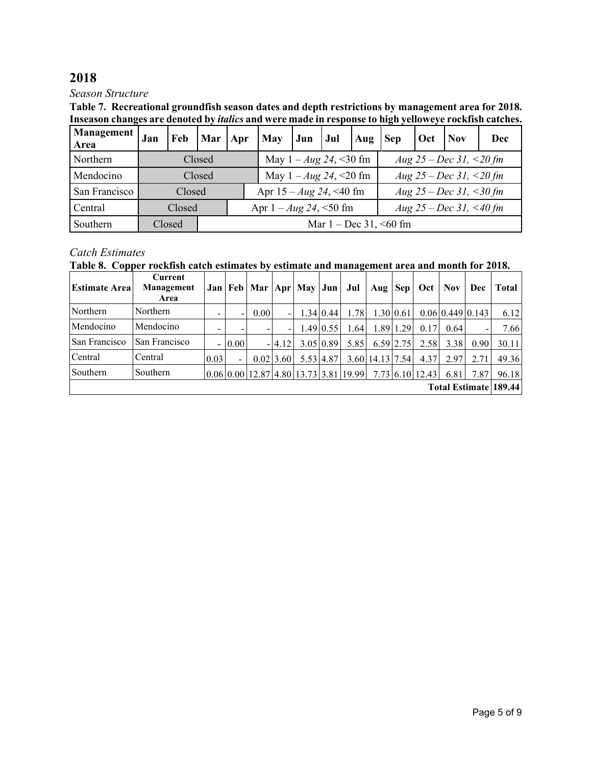#### *Season Structure*

**Table 7. Recreational groundfish season dates and depth restrictions by management area for 2018. Inseason changes are denoted by** *italics* **and were made in response to high yelloweye rockfish catches.** 

| Management  <br>Area | Jan | Feb    | Mar   Apr                   |                                                          | May Jun Jul                    |  |  | Aug Sep |                         | Oct | <b>Nov</b> | Dec |  |  |
|----------------------|-----|--------|-----------------------------|----------------------------------------------------------|--------------------------------|--|--|---------|-------------------------|-----|------------|-----|--|--|
| Northern             |     |        | Closed                      | May $1 - Aug\ 24, \leq 30$ fm<br>Aug 25 – Dec 31, <20 fm |                                |  |  |         |                         |     |            |     |  |  |
| Mendocino            |     |        | Closed                      | Aug 25 – Dec 31, <20 fm<br>May $1 - Aug\ 24, \leq 20$ fm |                                |  |  |         |                         |     |            |     |  |  |
| San Francisco        |     | Closed |                             |                                                          | Apr $15 - Aug\ 24, \leq 40$ fm |  |  |         | Aug 25 – Dec 31, <30 fm |     |            |     |  |  |
| Central              |     | Closed |                             |                                                          | Apr $1 - Aug\ 24, \leq 50$ fm  |  |  |         | Aug 25 – Dec 31, <40 fm |     |            |     |  |  |
| Southern             |     | Closed | Mar $1 - Dec 31, \le 60$ fm |                                                          |                                |  |  |         |                         |     |            |     |  |  |

### *Catch Estimates*

**Table 8. Copper rockfish catch estimates by estimate and management area and month for 2018.**

| <b>Estimate Area</b> | Current<br>Management<br>Area |                       |                          | Jan   Feb   Mar   Apr   May   Jun   Jul |                          |  |                          |                                                                         | Aug $\left  \text{Sep} \right $ |               | Oct             | Nov. | Dec              | Total |
|----------------------|-------------------------------|-----------------------|--------------------------|-----------------------------------------|--------------------------|--|--------------------------|-------------------------------------------------------------------------|---------------------------------|---------------|-----------------|------|------------------|-------|
| Northern             | Northern                      |                       |                          | 0.00                                    | $\overline{\phantom{0}}$ |  | $1.34 \,   \, 0.44 \,  $ | 1.78                                                                    | $1.30 \,   \, 0.61$             |               |                 |      | 0.0610.44910.143 | 6.12  |
| Mendocino            | Mendocino                     |                       |                          |                                         | -                        |  | $1.49 \mid 0.55$         | 1.64                                                                    |                                 | 1.89 1.29     | 0.17            | 0.64 |                  | 7.66  |
| San Francisco        | San Francisco                 |                       | $-10.00$                 |                                         | $-14.12$                 |  | 3.05 0.89                | 5.85                                                                    |                                 | $6.59$   2.75 | 2.58            | 3.38 | 0.90             | 30.11 |
| Central              | Central                       | 0.03                  | $\overline{\phantom{0}}$ |                                         | 0.0213.60                |  | 5.53 4.87                |                                                                         | 3.60   14.13   7.54             |               | 4.37            | 2.97 | 2.71             | 49.36 |
| Southern             | Southern                      |                       |                          |                                         |                          |  |                          | $[0.06 \mid 0.00 \mid 12.87 \mid 4.80 \mid 13.73 \mid 3.81 \mid 19.99]$ |                                 |               | 7.73 6.10 12.43 | 6.81 | 7.87             | 96.18 |
|                      |                               | Total Estimate 189.44 |                          |                                         |                          |  |                          |                                                                         |                                 |               |                 |      |                  |       |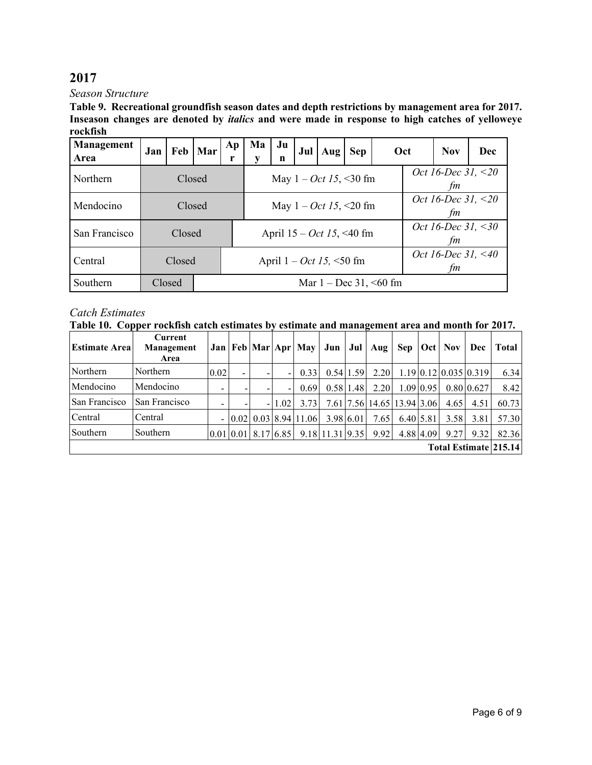*Season Structure*

**Table 9. Recreational groundfish season dates and depth restrictions by management area for 2017. Inseason changes are denoted by** *italics* **and were made in response to high catches of yelloweye rockfish**

| Management<br>Area | Jan |        | Feb   Mar | Ap<br>r                                                                   | Ma<br>V                     | Ju<br>n | Jul | $Auq$ Sep |                                         | Oct                         |  | Dec                      |  |  |  |  |
|--------------------|-----|--------|-----------|---------------------------------------------------------------------------|-----------------------------|---------|-----|-----------|-----------------------------------------|-----------------------------|--|--------------------------|--|--|--|--|
| Northern           |     | Closed |           |                                                                           |                             |         |     |           | May $1 - Oct \, 15, \, 30 \, \text{fm}$ |                             |  | Oct 16-Dec 31, <20<br>fm |  |  |  |  |
| Mendocino          |     | Closed |           | Oct 16-Dec 31, $\leq$ 20<br>May $1 - Oct \, 15, \, 20 \, \text{fm}$<br>fm |                             |         |     |           |                                         |                             |  |                          |  |  |  |  |
| San Francisco      |     | Closed |           |                                                                           | April $15 - Oct$ 15, <40 fm |         |     |           |                                         |                             |  | Oct 16-Dec 31, <30<br>fm |  |  |  |  |
| Central            |     | Closed |           |                                                                           | April $1 - Oct$ 15, <50 fm  |         |     |           |                                         |                             |  | Oct 16-Dec 31, <40<br>fm |  |  |  |  |
| Southern           |     | Closed |           |                                                                           |                             |         |     |           |                                         | Mar $1 - Dec 31, \le 60$ fm |  |                          |  |  |  |  |

### *Catch Estimates*

| <b>Estimate Area</b>  | Current<br>Management<br>Area |                          |                          |  |      | Jan   Feb   Mar   Apr   May                | Jun | Jul           | Aug                                                                                              | <b>Sep</b> |                  | <b>Oct</b> Nov | Dec                                         | Total |
|-----------------------|-------------------------------|--------------------------|--------------------------|--|------|--------------------------------------------|-----|---------------|--------------------------------------------------------------------------------------------------|------------|------------------|----------------|---------------------------------------------|-------|
| Northern              | Northern                      | 0.02                     | $\overline{\phantom{0}}$ |  |      | 0.33                                       |     | $0.54$ 1.59   | 2.20                                                                                             |            |                  |                | $1.19 \mid 0.12 \mid 0.035 \mid 0.319 \mid$ | 6.34  |
| Mendocino             | Mendocino                     | $\overline{\phantom{a}}$ |                          |  |      | 0.69                                       |     | $0.58$   1.48 | 2.20                                                                                             |            | $1.09 \mid 0.95$ |                | 0.8010.627                                  | 8.42  |
| San Francisco         | San Francisco                 |                          |                          |  | 1.02 | 3.73                                       |     |               | 7.61 7.56 14.65 13.94 3.06                                                                       |            |                  | 4.65           | 4.51                                        | 60.73 |
| Central               | Central                       | $\sim$                   |                          |  |      | $0.02 \mid 0.03 \mid 8.94 \mid 11.06 \mid$ |     | 3.98 6.01     | 7.65                                                                                             | 6.40 5.81  |                  | 3.58           | 3.81                                        | 57.30 |
| Southern              | Southern                      |                          |                          |  |      |                                            |     |               | $\vert 0.01 \vert 0.01 \vert 8.17 \vert 6.85 \vert 9.18 \vert 11.31 \vert 9.35 \vert 9.92 \vert$ |            | 4.88 4.09        | 9.27           | 9.32                                        | 82.36 |
| Total Estimate 215.14 |                               |                          |                          |  |      |                                            |     |               |                                                                                                  |            |                  |                |                                             |       |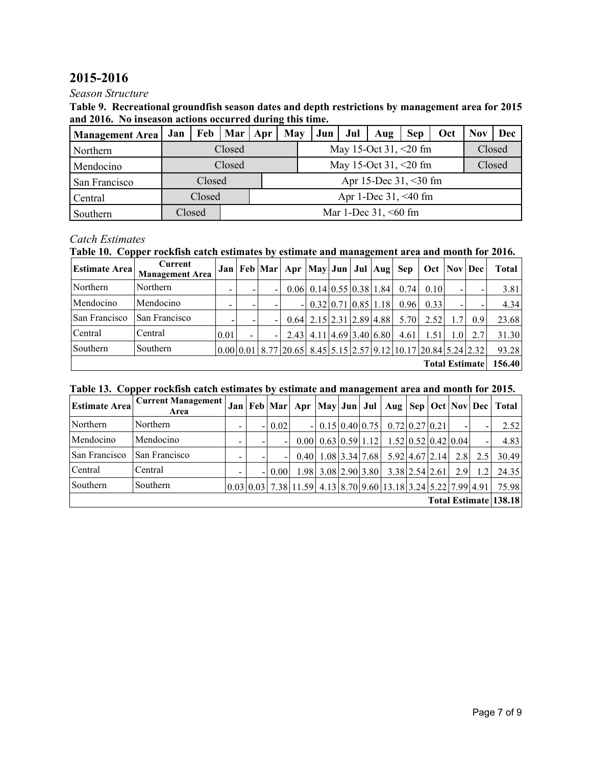## **2015-2016**

#### *Season Structure*

| Table 9. Recreational groundfish season dates and depth restrictions by management area for 2015 |  |
|--------------------------------------------------------------------------------------------------|--|
| and 2016. No inseason actions occurred during this time.                                         |  |

| <b>Management Area</b> | Jan | Feb    | Mar   Apr |                         | May | Jun                     | Jul    | Aug                         | <b>Sep</b> | Oct | Nov    | Dec |  |  |  |  |
|------------------------|-----|--------|-----------|-------------------------|-----|-------------------------|--------|-----------------------------|------------|-----|--------|-----|--|--|--|--|
| Northern               |     |        | Closed    |                         |     |                         |        | May 15-Oct 31, $\leq$ 20 fm |            |     | Closed |     |  |  |  |  |
| Mendocino              |     |        | Closed    |                         |     | May 15-Oct 31, $<20$ fm | Closed |                             |            |     |        |     |  |  |  |  |
| San Francisco          |     | Closed |           |                         |     | Apr 15-Dec 31, <30 fm   |        |                             |            |     |        |     |  |  |  |  |
| Central                |     | Closed |           |                         |     | Apr 1-Dec $31, < 40$ fm |        |                             |            |     |        |     |  |  |  |  |
| Southern               |     | Closed |           | Mar 1-Dec $31, < 60$ fm |     |                         |        |                             |            |     |        |     |  |  |  |  |

### *Catch Estimates*

## **Table 10. Copper rockfish catch estimates by estimate and management area and month for 2016.**

| <b>Estimate Area</b>  | Current<br><b>Management Area</b> |                          |  |  | Jan   Feb   Mar   Apr   May   Jun   Jul   Aug   Sep |                                           |  |  |  |      | Oct   Nov   Dec                                                    |                  |        | Total |
|-----------------------|-----------------------------------|--------------------------|--|--|-----------------------------------------------------|-------------------------------------------|--|--|--|------|--------------------------------------------------------------------|------------------|--------|-------|
| Northern              | Northern                          | -                        |  |  |                                                     | $0.06$ 0.14 0.55 0.38 1.84                |  |  |  | 0.74 | 0.10                                                               |                  |        | 3.81  |
| Mendocino             | Mendocino                         | $\overline{\phantom{a}}$ |  |  | - 1                                                 | $0.32 \mid 0.71 \mid 0.85 \mid 1.18 \mid$ |  |  |  | 0.96 | 0.33                                                               |                  |        | 4.34  |
| San Francisco         | San Francisco                     |                          |  |  |                                                     | $0.64$ 2.15 2.31 2.89 4.88                |  |  |  | 5.70 | 2.52                                                               | 1.71             | 0.9    | 23.68 |
| Central               | Central                           | 0.01                     |  |  |                                                     | $2.43$ 4.11 4.69 3.40 6.80                |  |  |  | 4.61 | 1.51                                                               | 1.0 <sub>l</sub> | 2.7    | 31.30 |
| Southern              | Southern                          |                          |  |  |                                                     |                                           |  |  |  |      | $[0.00 0.01 8.77 20.65 8.45 5.15 2.57 9.12 10.17 20.84 5.24 2.32]$ |                  |        | 93.28 |
| <b>Total Estimate</b> |                                   |                          |  |  |                                                     |                                           |  |  |  |      |                                                                    |                  | 156.40 |       |

### **Table 13. Copper rockfish catch estimates by estimate and management area and month for 2015.**

| <b>Estimate Area</b>  | <b>Current Management</b><br>Area |                          |  |                   |  |                                           |  |  | Jan   Feb   Mar   Apr   May   Jun   Jul   Aug   Sep   Oct   Nov   Dec                             |  |  |     |           | <b>Total</b> |
|-----------------------|-----------------------------------|--------------------------|--|-------------------|--|-------------------------------------------|--|--|---------------------------------------------------------------------------------------------------|--|--|-----|-----------|--------------|
| Northern              | Northern                          | $\overline{\phantom{0}}$ |  | 0.02              |  |                                           |  |  | $\vert 0.15 \vert 0.40 \vert 0.75 \vert 0.72 \vert 0.27 \vert 0.21 \vert$                         |  |  |     |           | 2.52         |
| Mendocino             | Mendocino                         | -                        |  |                   |  | $0.00 \mid 0.63 \mid 0.59 \mid 1.12 \mid$ |  |  | $1.52 \mid 0.52 \mid 0.42 \mid 0.04 \mid$                                                         |  |  |     |           | 4.83         |
| San Francisco         | San Francisco                     | -                        |  |                   |  |                                           |  |  | $0.40$   1.08   3.34   7.68   5.92   4.67   2.14                                                  |  |  |     | $2.8$ 2.5 | 30.49        |
| Central               | Central                           | -                        |  | 0.00 <sub>l</sub> |  |                                           |  |  | $1.98 \mid 3.08 \mid 2.90 \mid 3.80 \mid 3.38 \mid 2.54 \mid 2.61 \mid$                           |  |  | 2.9 | 1.2       | 24.35        |
| Southern              | Southern                          |                          |  |                   |  |                                           |  |  | $[0.03 \, 0.03 \, 7.38 \, 11.59 \, 4.13 \, 8.70 \, 9.60 \, 13.18 \, 3.24 \, 5.22 \, 7.99 \, 4.91$ |  |  |     |           | 75.98        |
| Total Estimate 138.18 |                                   |                          |  |                   |  |                                           |  |  |                                                                                                   |  |  |     |           |              |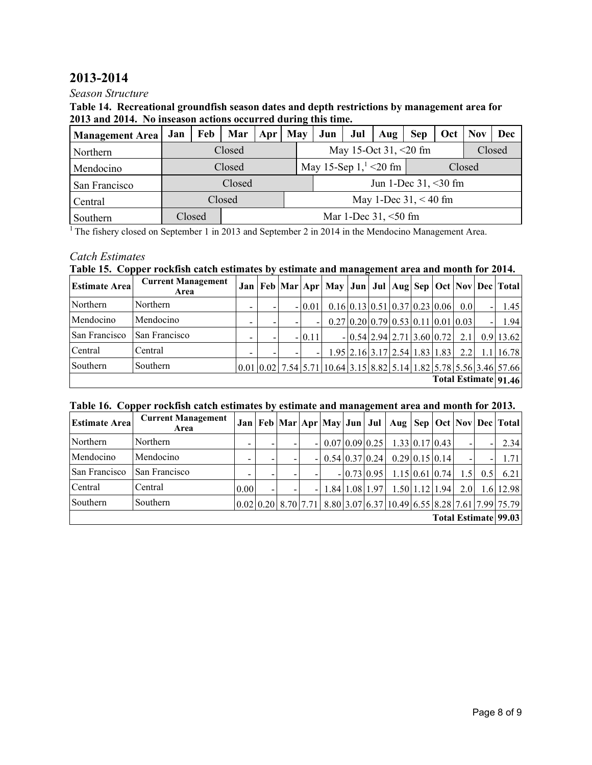## **2013-2014**

### *Season Structure*

#### **Table 14. Recreational groundfish season dates and depth restrictions by management area for 2013 and 2014. No inseason actions occurred during this time.**

| <b>Management Area</b> | Jan    | Feb    | Mar                     | Apr | May |                                   | Jun                     | Jul    | Aug | <b>Sep</b> | Oct | <b>Nov</b> | Dec |  |  |  |
|------------------------|--------|--------|-------------------------|-----|-----|-----------------------------------|-------------------------|--------|-----|------------|-----|------------|-----|--|--|--|
| Northern               |        |        | Closed                  |     |     |                                   | May 15-Oct 31, $<20$ fm | Closed |     |            |     |            |     |  |  |  |
| Mendocino              |        |        | Closed                  |     |     | May 15-Sep $11 < 20$ fm<br>Closed |                         |        |     |            |     |            |     |  |  |  |
| San Francisco          | Closed |        |                         |     |     |                                   | Jun 1-Dec $31, < 30$ fm |        |     |            |     |            |     |  |  |  |
| Central                |        |        | Closed                  |     |     | May 1-Dec $31, < 40$ fm           |                         |        |     |            |     |            |     |  |  |  |
| Southern               |        | Closed | Mar 1-Dec $31, < 50$ fm |     |     |                                   |                         |        |     |            |     |            |     |  |  |  |

<sup>1</sup> The fishery closed on September 1 in 2013 and September 2 in 2014 in the Mendocino Management Area.

### *Catch Estimates*

### **Table 15. Copper rockfish catch estimates by estimate and management area and month for 2014.**

| <b>Estimate Area</b> | <b>Current Management</b><br>Area |  |  |  |          |  |  |  |                                                                                 |  |  |                  |  | Jan   Feb   Mar   Apr   May   Jun   Jul   Aug   Sep   Oct   Nov   Dec   Total                                                                                                                                                                          |
|----------------------|-----------------------------------|--|--|--|----------|--|--|--|---------------------------------------------------------------------------------|--|--|------------------|--|--------------------------------------------------------------------------------------------------------------------------------------------------------------------------------------------------------------------------------------------------------|
| Northern             | Northern                          |  |  |  | $-10.01$ |  |  |  | $0.16 \,   \, 0.13 \,   \, 0.51 \,   \, 0.37 \,   \, 0.23 \,   \, 0.06 \,   \,$ |  |  | 0.0 <sub>l</sub> |  | 1.45                                                                                                                                                                                                                                                   |
| Mendocino            | Mendocino                         |  |  |  |          |  |  |  | $0.27 \mid 0.20 \mid 0.79 \mid 0.53 \mid 0.11 \mid 0.01 \mid 0.03 \mid$         |  |  |                  |  | 1.94                                                                                                                                                                                                                                                   |
| San Francisco        | San Francisco                     |  |  |  | $-10.11$ |  |  |  | $- 0.54 2.94 2.71 3.60 0.72 $                                                   |  |  | 2.1              |  | $0.9$   13.62                                                                                                                                                                                                                                          |
| Central              | Central                           |  |  |  |          |  |  |  | $1.95 \mid 2.16 \mid 3.17 \mid 2.54 \mid 1.83 \mid 1.83 \mid 2.2 \mid$          |  |  |                  |  | $1.1$   16.78                                                                                                                                                                                                                                          |
| Southern             | Southern                          |  |  |  |          |  |  |  |                                                                                 |  |  |                  |  | $\left[0.01\right]$ $\left[0.02\right]$ 7.54 $\left[5.71\right]$ $\left[10.64\right]$ $\left[3.15\right]$ $\left[8.82\right]$ $\left[5.14\right]$ $\left[1.82\right]$ $\left[5.78\right]$ $\left[5.56\right]$ $\left[3.46\right]$ $\left[57.66\right]$ |
| Total Estimate 91.46 |                                   |  |  |  |          |  |  |  |                                                                                 |  |  |                  |  |                                                                                                                                                                                                                                                        |

#### **Table 16. Copper rockfish catch estimates by estimate and management area and month for 2013.**

| <b>Estimate Area</b> | <b>Current Management</b><br>Area |                   |  |  |  |                                 |  |              |                                 |  |  |                          |     | Jan   Feb   Mar   Apr   May   Jun   Jul   Aug   Sep   Oct   Nov   Dec   Total |
|----------------------|-----------------------------------|-------------------|--|--|--|---------------------------------|--|--------------|---------------------------------|--|--|--------------------------|-----|-------------------------------------------------------------------------------|
| Northern             | Northern                          | -                 |  |  |  | 0.07 0.09 0.25                  |  |              | $1.33 \mid 0.17 \mid 0.43 \mid$ |  |  | $\overline{\phantom{0}}$ |     | 2.34                                                                          |
| Mendocino            | Mendocino                         |                   |  |  |  | $- 0.54 0.37 0.24 $             |  |              | $0.29 \mid 0.15 \mid 0.14 \mid$ |  |  | $\overline{\phantom{0}}$ |     | 1.71                                                                          |
| San Francisco        | San Francisco                     |                   |  |  |  |                                 |  | $-0.73$ 0.95 | $1.15 \mid 0.61 \mid 0.74 \mid$ |  |  | 1.5                      | 0.5 | 6.21                                                                          |
| Central              | Central                           | 0.00 <sub>l</sub> |  |  |  | $1.84 \mid 1.08 \mid 1.97 \mid$ |  |              | $1.50$ 1.12 1.94                |  |  | 2.0                      |     | 1.6 12.98                                                                     |
| Southern             | Southern                          |                   |  |  |  |                                 |  |              |                                 |  |  |                          |     | $[0.02]0.20]8.70[7.71]8.80[3.07]6.37[10.49]6.55[8.28]7.61[7.99]75.79$         |
| Total Estimate 99.03 |                                   |                   |  |  |  |                                 |  |              |                                 |  |  |                          |     |                                                                               |